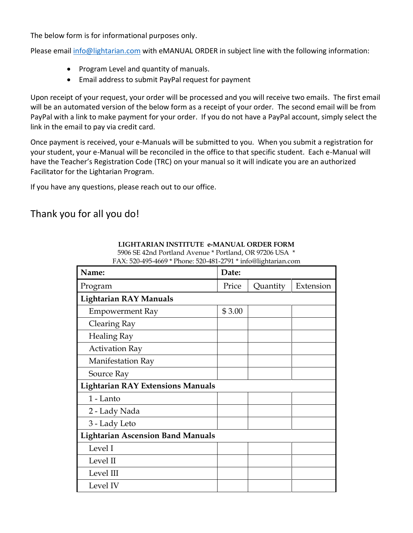The below form is for informational purposes only.

Please email [info@lightarian.com](mailto:info@lightarian.com) with eMANUAL ORDER in subject line with the following information:

- Program Level and quantity of manuals.
- Email address to submit PayPal request for payment

Upon receipt of your request, your order will be processed and you will receive two emails. The first email will be an automated version of the below form as a receipt of your order. The second email will be from PayPal with a link to make payment for your order. If you do not have a PayPal account, simply select the link in the email to pay via credit card.

Once payment is received, your e-Manuals will be submitted to you. When you submit a registration for your student, your e-Manual will be reconciled in the office to that specific student. Each e-Manual will have the Teacher's Registration Code (TRC) on your manual so it will indicate you are an authorized Facilitator for the Lightarian Program.

If you have any questions, please reach out to our office.

## Thank you for all you do!

| Name:                                    | Date:  |          |           |  |  |
|------------------------------------------|--------|----------|-----------|--|--|
| Program                                  | Price  | Quantity | Extension |  |  |
| <b>Lightarian RAY Manuals</b>            |        |          |           |  |  |
| <b>Empowerment Ray</b>                   | \$3.00 |          |           |  |  |
| Clearing Ray                             |        |          |           |  |  |
| <b>Healing Ray</b>                       |        |          |           |  |  |
| <b>Activation Ray</b>                    |        |          |           |  |  |
| Manifestation Ray                        |        |          |           |  |  |
| Source Ray                               |        |          |           |  |  |
| <b>Lightarian RAY Extensions Manuals</b> |        |          |           |  |  |
| 1 - Lanto                                |        |          |           |  |  |
| 2 - Lady Nada                            |        |          |           |  |  |
| 3 - Lady Leto                            |        |          |           |  |  |
| <b>Lightarian Ascension Band Manuals</b> |        |          |           |  |  |
| Level I                                  |        |          |           |  |  |
| Level II                                 |        |          |           |  |  |
| Level III                                |        |          |           |  |  |
| Level IV                                 |        |          |           |  |  |

**LIGHTARIAN INSTITUTE e-MANUAL ORDER FORM** 

5906 SE 42nd Portland Avenue \* Portland, OR 97206 USA \* FAX: 520-495-4669 \* Phone: 520-481-2791 \* info@lightarian.com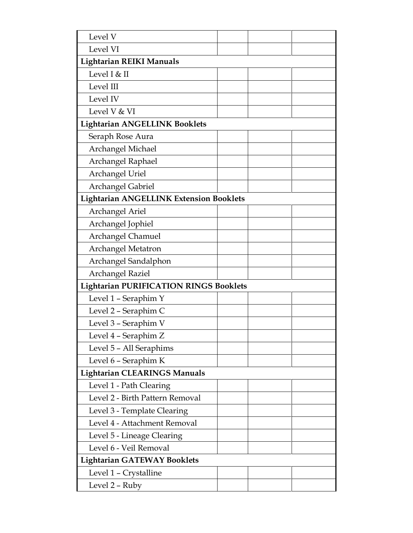| Level V                                        |  |  |  |  |  |
|------------------------------------------------|--|--|--|--|--|
| Level VI                                       |  |  |  |  |  |
| <b>Lightarian REIKI Manuals</b>                |  |  |  |  |  |
| Level I & II                                   |  |  |  |  |  |
| Level III                                      |  |  |  |  |  |
| Level IV                                       |  |  |  |  |  |
| Level V & VI                                   |  |  |  |  |  |
| <b>Lightarian ANGELLINK Booklets</b>           |  |  |  |  |  |
| Seraph Rose Aura                               |  |  |  |  |  |
| Archangel Michael                              |  |  |  |  |  |
| Archangel Raphael                              |  |  |  |  |  |
| <b>Archangel Uriel</b>                         |  |  |  |  |  |
| Archangel Gabriel                              |  |  |  |  |  |
| <b>Lightarian ANGELLINK Extension Booklets</b> |  |  |  |  |  |
| Archangel Ariel                                |  |  |  |  |  |
| Archangel Jophiel                              |  |  |  |  |  |
| Archangel Chamuel                              |  |  |  |  |  |
| Archangel Metatron                             |  |  |  |  |  |
| Archangel Sandalphon                           |  |  |  |  |  |
| Archangel Raziel                               |  |  |  |  |  |
| <b>Lightarian PURIFICATION RINGS Booklets</b>  |  |  |  |  |  |
| Level 1 - Seraphim Y                           |  |  |  |  |  |
| Level 2 - Seraphim C                           |  |  |  |  |  |
| Level 3 - Seraphim V                           |  |  |  |  |  |
| Level 4 - Seraphim Z                           |  |  |  |  |  |
| Level 5 - All Seraphims                        |  |  |  |  |  |
| Level 6 - Seraphim K                           |  |  |  |  |  |
| <b>Lightarian CLEARINGS Manuals</b>            |  |  |  |  |  |
| Level 1 - Path Clearing                        |  |  |  |  |  |
| Level 2 - Birth Pattern Removal                |  |  |  |  |  |
| Level 3 - Template Clearing                    |  |  |  |  |  |
| Level 4 - Attachment Removal                   |  |  |  |  |  |
| Level 5 - Lineage Clearing                     |  |  |  |  |  |
| Level 6 - Veil Removal                         |  |  |  |  |  |
| <b>Lightarian GATEWAY Booklets</b>             |  |  |  |  |  |
| Level 1 - Crystalline                          |  |  |  |  |  |
| Level 2 - Ruby                                 |  |  |  |  |  |